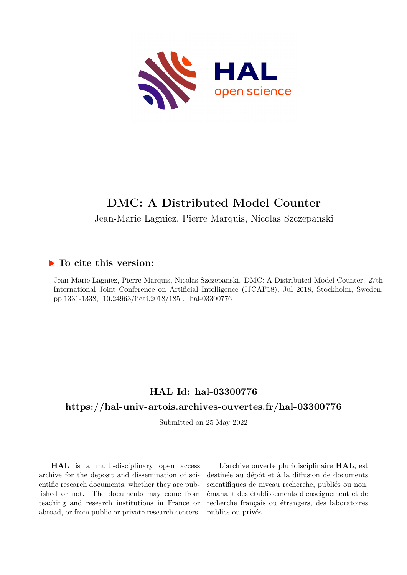

# **DMC: A Distributed Model Counter**

Jean-Marie Lagniez, Pierre Marquis, Nicolas Szczepanski

## **To cite this version:**

Jean-Marie Lagniez, Pierre Marquis, Nicolas Szczepanski. DMC: A Distributed Model Counter. 27th International Joint Conference on Artificial Intelligence (IJCAI'18), Jul 2018, Stockholm, Sweden. pp.1331-1338, 10.24963/ijcai.2018/185. hal-03300776

# **HAL Id: hal-03300776**

# **<https://hal-univ-artois.archives-ouvertes.fr/hal-03300776>**

Submitted on 25 May 2022

**HAL** is a multi-disciplinary open access archive for the deposit and dissemination of scientific research documents, whether they are published or not. The documents may come from teaching and research institutions in France or abroad, or from public or private research centers.

L'archive ouverte pluridisciplinaire **HAL**, est destinée au dépôt et à la diffusion de documents scientifiques de niveau recherche, publiés ou non, émanant des établissements d'enseignement et de recherche français ou étrangers, des laboratoires publics ou privés.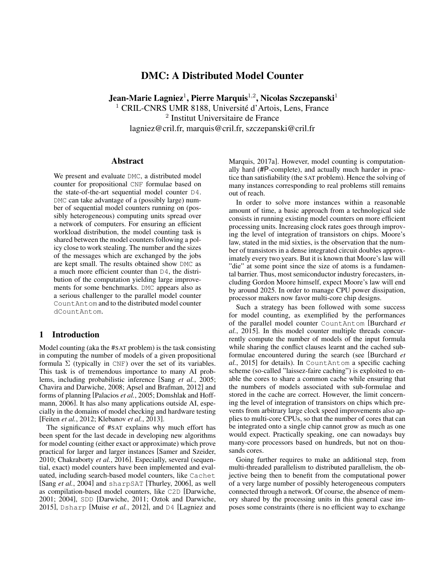### DMC: A Distributed Model Counter

Jean-Marie Lagniez $^1$ , Pierre Marquis $^{1,2}$ , Nicolas Szczepanski $^1$ <sup>1</sup> CRIL-CNRS UMR 8188, Université d'Artois, Lens, France 2 Institut Universitaire de France lagniez@cril.fr, marquis@cril.fr, szczepanski@cril.fr

#### Abstract

We present and evaluate DMC, a distributed model counter for propositional CNF formulae based on the state-of-the-art sequential model counter D4. DMC can take advantage of a (possibly large) number of sequential model counters running on (possibly heterogeneous) computing units spread over a network of computers. For ensuring an efficient workload distribution, the model counting task is shared between the model counters following a policy close to work stealing. The number and the sizes of the messages which are exchanged by the jobs are kept small. The results obtained show DMC as a much more efficient counter than D4, the distribution of the computation yielding large improvements for some benchmarks. DMC appears also as a serious challenger to the parallel model counter CountAntom and to the distributed model counter dCountAntom.

### 1 Introduction

Model counting (aka the #SAT problem) is the task consisting in computing the number of models of a given propositional formula  $\Sigma$  (typically in CNF) over the set of its variables. This task is of tremendous importance to many AI problems, including probabilistic inference [Sang *et al.*, 2005; Chavira and Darwiche, 2008; Apsel and Brafman, 2012] and forms of planning [Palacios *et al.*, 2005; Domshlak and Hoffmann, 2006]. It has also many applications outside AI, especially in the domains of model checking and hardware testing [Feiten *et al.*, 2012; Klebanov *et al.*, 2013].

The significance of #SAT explains why much effort has been spent for the last decade in developing new algorithms for model counting (either exact or approximate) which prove practical for larger and larger instances [Samer and Szeider, 2010; Chakraborty *et al.*, 2016]. Especially, several (sequential, exact) model counters have been implemented and evaluated, including search-based model counters, like Cachet [Sang *et al.*, 2004] and sharpSAT [Thurley, 2006], as well as compilation-based model counters, like C2D [Darwiche, 2001; 2004], SDD [Darwiche, 2011; Oztok and Darwiche, 2015], Dsharp [Muise *et al.*, 2012], and D4 [Lagniez and Marquis, 2017a]. However, model counting is computationally hard (#P-complete), and actually much harder in practice than satisfiability (the SAT problem). Hence the solving of many instances corresponding to real problems still remains out of reach.

In order to solve more instances within a reasonable amount of time, a basic approach from a technological side consists in running existing model counters on more efficient processing units. Increasing clock rates goes through improving the level of integration of transistors on chips. Moore's law, stated in the mid sixties, is the observation that the number of transistors in a dense integrated circuit doubles approximately every two years. But it is known that Moore's law will "die" at some point since the size of atoms is a fundamental barrier. Thus, most semiconductor industry forecasters, including Gordon Moore himself, expect Moore's law will end by around 2025. In order to manage CPU power dissipation, processor makers now favor multi-core chip designs.

Such a strategy has been followed with some success for model counting, as exemplified by the performances of the parallel model counter CountAntom [Burchard *et al.*, 2015]. In this model counter multiple threads concurrently compute the number of models of the input formula while sharing the conflict clauses learnt and the cached subformulae encountered during the search (see [Burchard *et al.*, 2015] for details). In CountAntom a specific caching scheme (so-called "laissez-faire caching") is exploited to enable the cores to share a common cache while ensuring that the numbers of models associated with sub-formulae and stored in the cache are correct. However, the limit concerning the level of integration of transistors on chips which prevents from arbitrary large clock speed improvements also applies to multi-core CPUs, so that the number of cores that can be integrated onto a single chip cannot grow as much as one would expect. Practically speaking, one can nowadays buy many-core processors based on hundreds, but not on thousands cores.

Going further requires to make an additional step, from multi-threaded parallelism to distributed parallelism, the objective being then to benefit from the computational power of a very large number of possibly heterogeneous computers connected through a network. Of course, the absence of memory shared by the processing units in this general case imposes some constraints (there is no efficient way to exchange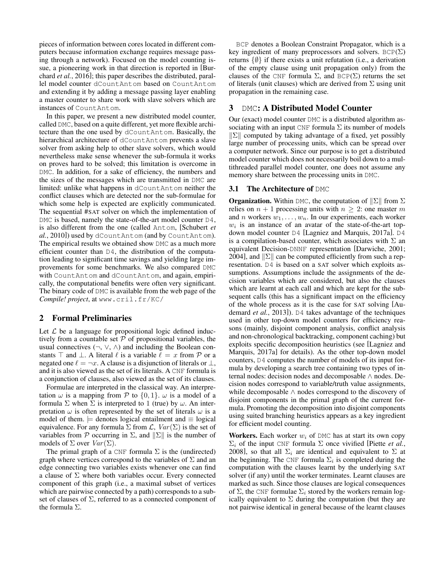pieces of information between cores located in different computers because information exchange requires message passing through a network). Focused on the model counting issue, a pioneering work in that direction is reported in [Burchard *et al.*, 2016]; this paper describes the distributed, parallel model counter dCountAntom based on CountAntom and extending it by adding a message passing layer enabling a master counter to share work with slave solvers which are instances of CountAntom.

In this paper, we present a new distributed model counter, called DMC, based on a quite different, yet more flexible architecture than the one used by dCountAntom. Basically, the hierarchical architecture of dCountAntom prevents a slave solver from asking help to other slave solvers, which would nevertheless make sense whenever the sub-formula it works on proves hard to be solved; this limitation is overcome in DMC. In addition, for a sake of efficiency, the numbers and the sizes of the messages which are transmitted in DMC are limited: unlike what happens in dCountAntom neither the conflict clauses which are detected nor the sub-formulae for which some help is expected are explicitly communicated. The sequential #SAT solver on which the implementation of DMC is based, namely the state-of-the-art model counter D4, is also different from the one (called Antom, [Schubert *et al.*, 2010]) used by dCountAntom (and by CountAntom). The empirical results we obtained show DMC as a much more efficient counter than D4, the distribution of the computation leading to significant time savings and yielding large improvements for some benchmarks. We also compared DMC with CountAntom and dCountAntom, and again, empirically, the computational benefits were often very significant. The binary code of DMC is available from the web page of the *Compile! project*, at www.cril.fr/KC/

#### 2 Formal Preliminaries

Let  $\mathcal L$  be a language for propositional logic defined inductively from a countable set  $P$  of propositional variables, the usual connectives  $(\neg, \vee, \wedge)$  and including the Boolean constants  $\top$  and  $\bot$ . A literal  $\ell$  is a variable  $\ell = x$  from  $\mathcal P$  or a negated one  $\ell = \neg x$ . A clause is a disjunction of literals or  $\bot$ , and it is also viewed as the set of its literals. A CNF formula is a conjunction of clauses, also viewed as the set of its clauses.

Formulae are interpreted in the classical way. An interpretation  $\omega$  is a mapping from  $\mathcal P$  to  $\{0,1\}$ .  $\omega$  is a model of a formula  $\Sigma$  when  $\Sigma$  is interpreted to 1 (true) by  $\omega$ . An interpretation  $\omega$  is often represented by the set of literals  $\omega$  is a model of them.  $\models$  denotes logical entailment and  $\equiv$  logical equivalence. For any formula  $\Sigma$  from  $\mathcal{L}$ ,  $Var(\Sigma)$  is the set of variables from P occurring in  $\Sigma$ , and  $\|\Sigma\|$  is the number of models of  $\Sigma$  over  $Var(\Sigma)$ .

The primal graph of a CNF formula  $\Sigma$  is the (undirected) graph where vertices correspond to the variables of  $\Sigma$  and an edge connecting two variables exists whenever one can find a clause of  $\Sigma$  where both variables occur. Every connected component of this graph (i.e., a maximal subset of vertices which are pairwise connected by a path) corresponds to a subset of clauses of  $\Sigma$ , referred to as a connected component of the formula  $\Sigma$ .

BCP denotes a Boolean Constraint Propagator, which is a key ingredient of many preprocessors and solvers.  $BCP(\Sigma)$ returns  $\{\emptyset\}$  if there exists a unit refutation (i.e., a derivation of the empty clause using unit propagation only) from the clauses of the CNF formula  $\Sigma$ , and BCP( $\Sigma$ ) returns the set of literals (unit clauses) which are derived from  $\Sigma$  using unit propagation in the remaining case.

#### 3 DMC: A Distributed Model Counter

Our (exact) model counter DMC is a distributed algorithm associating with an input CNF formula  $\Sigma$  its number of models  $\|\Sigma\|$  computed by taking advantage of a fixed, yet possibly large number of processing units, which can be spread over a computer network. Since our purpose is to get a distributed model counter which does not necessarily boil down to a multithreaded parallel model counter, one does not assume any memory share between the processing units in DMC.

#### **3.1 The Architecture of DMC**

**Organization.** Within DMC, the computation of  $\|\Sigma\|$  from  $\Sigma$ relies on  $n + 1$  processing units with  $n \geq 2$ : one master m and n workers  $w_1, \ldots, w_n$ . In our experiments, each worker  $w_i$  is an instance of an avatar of the state-of-the-art topdown model counter D4 [Lagniez and Marquis, 2017a]. D4 is a compilation-based counter, which associates with  $\Sigma$  an equivalent Decision-DNNF representation [Darwiche, 2001; 2004], and  $\|\Sigma\|$  can be computed efficiently from such a representation. D4 is based on a SAT solver which exploits assumptions. Assumptions include the assignments of the decision variables which are considered, but also the clauses which are learnt at each call and which are kept for the subsequent calls (this has a significant impact on the efficiency of the whole process as it is the case for SAT solving [Audemard *et al.*, 2013]). D4 takes advantage of the techniques used in other top-down model counters for efficiency reasons (mainly, disjoint component analysis, conflict analysis and non-chronological backtracking, component caching) but exploits specific decomposition heuristics (see [Lagniez and Marquis, 2017a] for details). As the other top-down model counters, D4 computes the number of models of its input formula by developing a search tree containing two types of internal nodes: decision nodes and decomposable ∧ nodes. Decision nodes correspond to variable/truth value assignments, while decomposable ∧ nodes correspond to the discovery of disjoint components in the primal graph of the current formula. Promoting the decomposition into disjoint components using suited branching heuristics appears as a key ingredient for efficient model counting.

Workers. Each worker  $w_i$  of DMC has at start its own copy  $\Sigma_i$  of the input CNF formula  $\Sigma$  once vivified [Piette *et al.*, 2008], so that all  $\Sigma_i$  are identical and equivalent to  $\Sigma$  at the beginning. The CNF formula  $\Sigma_i$  is completed during the computation with the clauses learnt by the underlying SAT solver (if any) until the worker terminates. Learnt clauses are marked as such. Since those clauses are logical consequences of  $\Sigma$ , the CNF formulae  $\Sigma_i$  stored by the workers remain logically equivalent to  $\Sigma$  during the computation (but they are not pairwise identical in general because of the learnt clauses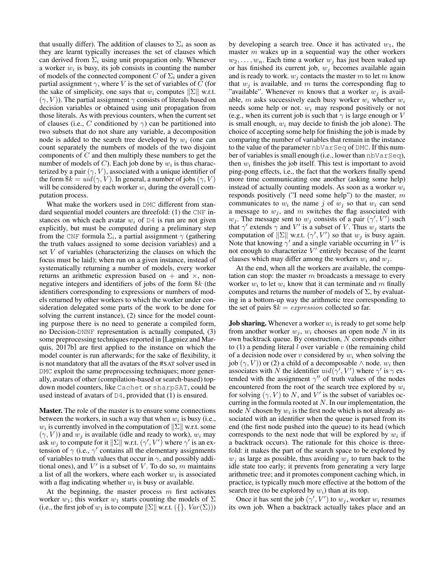that usually differ). The addition of clauses to  $\Sigma_i$  as soon as they are learnt typically increases the set of clauses which can derived from  $\Sigma_i$  using unit propagation only. Whenever a worker  $w_i$  is busy, its job consists in counting the number of models of the connected component C of  $\Sigma_i$  under a given partial assignment  $\gamma$ , where V is the set of variables of C (for the sake of simplicity, one says that  $w_i$  computes  $||\Sigma||$  w.r.t.  $(\gamma, V)$ ). The partial assignment  $\gamma$  consists of literals based on decision variables or obtained using unit propagation from those literals. As with previous counters, when the current set of clauses (i.e., C conditioned by  $\gamma$ ) can be partitioned into two subsets that do not share any variable, a decomposition node is added to the search tree developed by  $w_i$  (one can count separately the numbers of models of the two disjoint components of  $C$  and then multiply these numbers to get the number of models of C). Each job done by  $w_i$  is thus characterized by a pair  $(\gamma, V)$ , associated with a unique identifier of the form  $\&i = \text{uid}(\gamma, V)$ . In general, a number of jobs  $(\gamma, V)$ will be considered by each worker  $w_i$  during the overall computation process.

What make the workers used in DMC different from standard sequential model counters are threefold: (1) the CNF instances on which each avatar  $w_i$  of D4 is run are not given explicitly, but must be computed during a preliminary step from the CNF formula  $\Sigma_i$ , a partial assignment  $\gamma$  (gathering the truth values assigned to some decision variables) and a set V of variables (characterizing the clauses on which the focus must be laid); when run on a given instance, instead of systematically returning a number of models, every worker returns an arithmetic expression based on  $+$  and  $\times$ , nonnegative integers and identifiers of jobs of the form \$k (the identifiers corresponding to expressions or numbers of models returned by other workers to which the worker under consideration delegated some parts of the work to be done for solving the current instance), (2) since for the model counting purpose there is no need to generate a compiled form, no Decision-DNNF representation is actually computed, (3) some preprocessing techniques reported in [Lagniez and Marquis, 2017b] are first applied to the instance on which the model counter is run afterwards; for the sake of flexibility, it is not mandatory that all the avatars of the #SAT solver used in DMC exploit the same preprocessing techniques; more generally, avatars of other (compilation-based or search-based) topdown model counters, like Cachet or sharpSAT, could be used instead of avatars of D4, provided that (1) is ensured.

Master. The role of the master is to ensure some connections between the workers, in such a way that when  $w_i$  is busy (i.e.,  $w_i$  is currently involved in the computation of  $\|\Sigma\|$  w.r.t. some  $(\gamma, V)$ ) and  $w_i$  is available (idle and ready to work),  $w_i$  may ask  $w_j$  to compute for it  $\|\Sigma\|$  w.r.t.  $(\gamma', V')$  where  $\gamma'$  is an extension of  $\gamma$  (i.e.,  $\gamma'$  contains all the elementary assignments of variables to truth values that occur in  $\gamma$ , and possibly additional ones), and  $V'$  is a subset of V. To do so, m maintains a list of all the workers, where each worker  $w_i$  is associated with a flag indicating whether  $w_i$  is busy or available.

At the beginning, the master process  $m$  first activates worker  $w_1$ ; this worker  $w_1$  starts counting the models of  $\Sigma$ (i.e., the first job of  $w_1$  is to compute  $\|\Sigma\|$  w.r.t.  $({}, Var(\Sigma))$ ) by developing a search tree. Once it has activated  $w_1$ , the master  $m$  wakes up in a sequential way the other workers  $w_2, \ldots, w_n$ . Each time a worker  $w_j$  has just been waked up or has finished its current job,  $w_i$  becomes available again and is ready to work.  $w_i$  contacts the master m to let m know that  $w_i$  is available, and m turns the corresponding flag to "available". Whenever m knows that a worker  $w_i$  is available, m asks successively each busy worker  $w_i$  whether  $w_i$ needs some help or not.  $w_i$  may respond positively or not (e.g., when its current job is such that  $\gamma$  is large enough or V is small enough,  $w_i$  may decide to finish the job alone). The choice of accepting some help for finishing the job is made by comparing the number of variables that remain in the instance to the value of the parameter nbVarSeq of DMC. If this number of variables is small enough (i.e., lower than nbVarSeq), then  $w_i$  finishes the job itself. This test is important to avoid ping-pong effects, i.e., the fact that the workers finally spend more time communicating one another (asking some help) instead of actually counting models. As soon as a worker  $w_i$ responds positively ("I need some help") to the master,  $m$ communicates to  $w_i$  the name j of  $w_j$  so that  $w_i$  can send a message to  $w_j$ , and m switches the flag associated with  $w_j$ . The message sent to  $w_j$  consists of a pair  $(\gamma', V')$  such that  $\gamma'$  extends  $\gamma$  and  $V'$  is a subset of V. Thus  $w_j$  starts the computation of  $\|\Sigma\|$  w.r.t.  $(\gamma', V')$  so that  $w_j$  is busy again. Note that knowing  $\gamma'$  and a single variable occurring in  $\bar{V}'$  is not enough to characterize  $V'$  entirely because of the learnt clauses which may differ among the workers  $w_i$  and  $w_j$ .

At the end, when all the workers are available, the computation can stop: the master  $m$  broadcasts a message to every worker  $w_i$  to let  $w_i$  know that it can terminate and m finally computes and returns the number of models of  $\Sigma$ , by evaluating in a bottom-up way the arithmetic tree corresponding to the set of pairs  $\$_k = expression$  collected so far.

**Job sharing.** Whenever a worker  $w_i$  is ready to get some help from another worker  $w_j$ ,  $w_i$  chooses an open node N in its own backtrack queue. By construction,  $N$  corresponds either to  $(1)$  a pending literal l over variable v (the remaining child of a decision node over  $v$  considered by  $w_i$  when solving the job  $(\gamma, V)$ ) or (2) a child of a decomposable  $\wedge$  node.  $w_i$  then associates with N the identifier  $uid(\gamma', V')$  where  $\gamma'$  is  $\gamma$  extended with the assignment  $\gamma''$  of truth values of the nodes encountered from the root of the search tree explored by  $w_i$ for solving  $(\gamma, V)$  to N, and V' is the subset of variables occurring in the formula rooted at  $N$ . In our implementation, the node N chosen by  $w_i$  is the first node which is not already associated with an identifier when the queue is parsed from its end (the first node pushed into the queue) to its head (which corresponds to the next node that will be explored by  $w_i$  if a backtrack occurs). The rationale for this choice is threefold: it makes the part of the search space to be explored by  $w_i$  as large as possible, thus avoiding  $w_i$  to turn back to the idle state too early; it prevents from generating a very large arithmetic tree; and it promotes component caching which, in practice, is typically much more effective at the bottom of the search tree (to be explored by  $w_i$ ) than at its top.

Once it has sent the job  $(\gamma', V')$  to  $w_j$ , worker  $w_i$  resumes its own job. When a backtrack actually takes place and an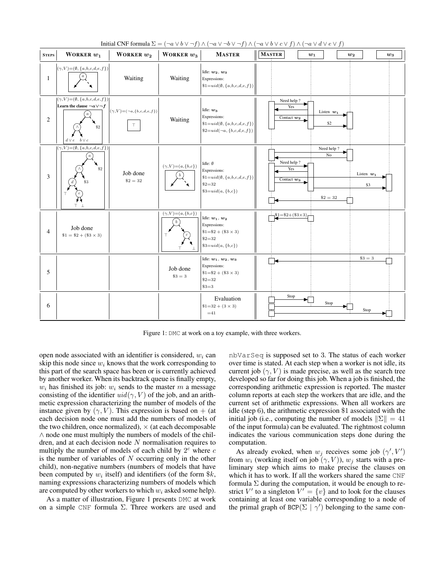

Initial CNF formula  $\Sigma = (\neg a \lor b \lor \neg f) \land (\neg a \lor \neg b \lor \neg f) \land (\neg a \lor b \lor c \lor f) \land (\neg a \lor d \lor e \lor f)$ 

Figure 1: DMC at work on a toy example, with three workers.

open node associated with an identifier is considered,  $w_i$  can skip this node since  $w_i$  knows that the work corresponding to this part of the search space has been or is currently achieved by another worker. When its backtrack queue is finally empty,  $w_i$  has finished its job:  $w_i$  sends to the master m a message consisting of the identifier  $uid(\gamma, V)$  of the job, and an arithmetic expression characterizing the number of models of the instance given by  $(\gamma, V)$ . This expression is based on + (at each decision node one must add the numbers of models of the two children, once normalized),  $\times$  (at each decomposable ∧ node one must multiply the numbers of models of the children, and at each decision node  $N$  normalisation requires to multiply the number of models of each child by  $2^c$  where c is the number of variables of  $N$  occurring only in the other child), non-negative numbers (numbers of models that have been computed by  $w_i$  itself) and identifiers (of the form  $\&k$ , naming expressions characterizing numbers of models which are computed by other workers to which  $w_i$  asked some help).

As a matter of illustration, Figure 1 presents DMC at work on a simple CNF formula  $\Sigma$ . Three workers are used and nbVarSeq is supposed set to 3. The status of each worker over time is stated. At each step when a worker is not idle, its current job  $(\gamma, V)$  is made precise, as well as the search tree developed so far for doing this job. When a job is finished, the corresponding arithmetic expression is reported. The master column reports at each step the workers that are idle, and the current set of arithmetic expressions. When all workers are idle (step 6), the arithmetic expression \$1 associated with the initial job (i.e., computing the number of models  $\|\Sigma\| = 41$ of the input formula) can be evaluated. The rightmost column indicates the various communication steps done during the computation.

As already evoked, when  $w_j$  receives some job  $(\gamma', V')$ from  $w_i$  (working itself on job  $(\gamma, V)$ ),  $w_j$  starts with a preliminary step which aims to make precise the clauses on which it has to work. If all the workers shared the same CNF formula  $\Sigma$  during the computation, it would be enough to restrict V' to a singleton  $V' = \{v\}$  and to look for the clauses containing at least one variable corresponding to a node of the primal graph of BCP( $\Sigma | \gamma'$ ) belonging to the same con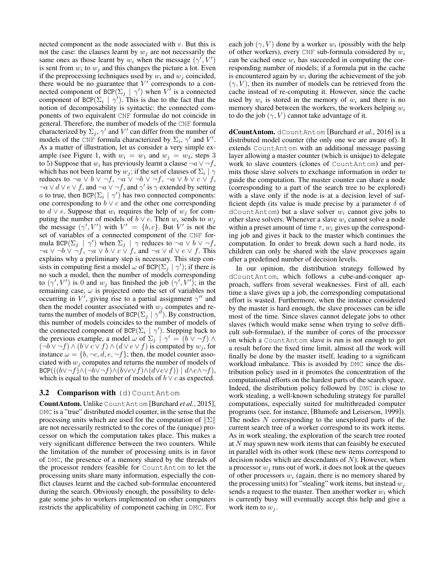nected component as the node associated with  $v$ . But this is not the case: the clauses learnt by  $w_i$  are not necessarily the same ones as those learnt by  $w_i$  when the message  $(\gamma', V')$ is sent from  $w_i$  to  $w_j$  and this changes the picture a lot. Even if the preprocessing techniques used by  $w_i$  and  $w_j$  coincided, there would be no guarantee that  $V'$  corresponds to a connected component of BCP( $\Sigma_j | \gamma'$ ) when  $V^{\dagger}$  is a connected component of BCP( $\Sigma_i | \gamma'$ ). This is due to the fact that the notion of decomposability is syntactic: the connected components of two equivalent CNF formulae do not coincide in general. Therefore, the number of models of the CNF formula characterized by  $\Sigma_j$ ,  $\gamma'$  and  $V'$  can differ from the number of models of the CNF formula characterized by  $\Sigma_i$ ,  $\gamma'$  and  $V'$ . As a matter of illustration, let us consider a very simple example (see Figure 1, with  $w_i = w_1$  and  $w_j = w_3$ , steps 3 to 5) Suppose that  $w_i$  has previously learnt a clause  $\neg a \lor \neg f$ , which has not been learnt by  $w_j$ : if the set of clauses of  $\Sigma_i \mid \gamma$ reduces to  $\neg a \lor b \lor \neg f$ ,  $\neg a \lor \neg b \lor \neg f$ ,  $\neg a \lor b \lor c \lor f$ ,  $\neg a \lor d \lor e \lor f$ , and  $\neg a \lor \neg f$ , and  $\gamma'$  is  $\gamma$  extended by setting a to true, then BCP( $\Sigma_i | \gamma'$ ) has two connected components: one corresponding to  $b \vee c$  and the other one corresponding to  $d \vee e$ . Suppose that  $w_i$  requires the help of  $w_j$  for computing the number of models of  $b \lor c$ . Then  $w_i$  sends to  $w_j$ the message  $(\gamma', V')$  with  $V' = \{b, c\}$ . But V' is not the set of variables of a connected component of the CNF formula BCP( $\Sigma_j$  |  $\gamma'$ ) when  $\Sigma_j$  |  $\gamma$  reduces to  $\neg a \lor b \lor \neg f$ ,  $\neg a \lor \neg b \lor \neg f$ ,  $\neg a \lor b \lor c \lor f$ , and  $\neg a \lor d \lor e \lor f$ . This explains why a preliminary step is necessary. This step consists in computing first a model  $\omega$  of BCP( $\sum_j |\gamma\rangle$ ; if there is no such a model, then the number of models corresponding to  $(\gamma', V')$  is 0 and  $w_j$  has finished the job  $(\gamma', V')$ ; in the remaining case,  $\omega$  is projected onto the set of variables not occurring in V', giving rise to a partial assignment  $\gamma''$  and then the model counter associated with  $w_i$  computes and returns the number of models of BCP( $\Sigma_j | \gamma^{i'}$ ). By construction, this number of models coincides to the number of models of the connected component of BCP( $\Sigma_i | \gamma'$ ). Stepping back to the previous example, a model  $\omega$  of  $\Sigma_j$   $\gamma' = (b \vee \neg f) \wedge$  $(\neg b \lor \neg f) \land (b \lor c \lor f) \land (d \lor e \lor f)$  is computed by  $w_i$ , for instance  $\omega = \{b, \neg c, d, e, \neg f\}$ ; then, the model counter associated with  $w_i$  computes and returns the number of models of  $\text{BCP}(((b \vee \neg f) \wedge (\neg b \vee \neg f) \wedge (b \vee c \vee f) \wedge (d \vee e \vee f)) \mid d \wedge e \wedge \neg f),$ which is equal to the number of models of  $b \vee c$  as expected.

#### 3.2 Comparison with (d) CountAntom

CountAntom. Unlike CountAntom [Burchard *et al.*, 2015], DMC is a "true" distributed model counter, in the sense that the processing units which are used for the computation of  $\|\Sigma\|$ are not necessarily restricted to the cores of the (unique) processor on which the computation takes place. This makes a very significant difference between the two counters. While the limitation of the number of processing units is in favor of DMC, the presence of a memory shared by the threads of the processor renders feasible for CountAntom to let the processing units share many information, especially the conflict clauses learnt and the cached sub-formulae encountered during the search. Obviously enough, the possibility to delegate some jobs to workers implemented on other computers restricts the applicability of component caching in DMC. For each job  $(\gamma, V)$  done by a worker  $w_i$  (possibly with the help of other workers), every CNF sub-formula considered by  $w_i$ can be cached once  $w_i$  has succeeded in computing the corresponding number of models; if a formula put in the cache is encountered again by  $w_i$  during the achievement of the job  $(\gamma, V)$ , then its number of models can be retrieved from the cache instead of re-computing it. However, since the cache used by  $w_i$  is stored in the memory of  $w_i$  and there is no memory shared between the workers, the workers helping  $w_i$ to do the job  $(\gamma, V)$  cannot take advantage of it.

dCountAntom. dCountAntom [Burchard *et al.*, 2016] is a distributed model counter (the only one we are aware of). It extends CountAntom with an additional message passing layer allowing a master counter (which is unique) to delegate work to slave counters (clones of CountAntom) and permits those slave solvers to exchange information in order to guide the computation. The master counter can share a node (corresponding to a part of the search tree to be explored) with a slave only if the node is at a decision level of sufficient depth (its value is made precise by a parameter  $\delta$  of dCountAntom) but a slave solver  $w_i$  cannot give jobs to other slave solvers. Whenever a slave  $w_i$  cannot solve a node within a preset amount of time  $\tau$ ,  $w_i$  gives up the corresponding job and gives it back to the master which continues the computation. In order to break down such a hard node, its children can only be shared with the slave processes again after a predefined number of decision levels.

In our opinion, the distribution strategy followed by dCountAntom, which follows a cube-and-conquer approach, suffers from several weaknesses. First of all, each time a slave gives up a job, the corresponding computational effort is wasted. Furthermore, when the instance considered by the master is hard enough, the slave processes can be idle most of the time. Since slaves cannot delegate jobs to other slaves (which would make sense when trying to solve difficult sub-formulae), if the number of cores of the processor on which a CountAntom slave is run is not enough to get a result before the fixed time limit, almost all the work will finally be done by the master itself, leading to a significant workload imbalance. This is avoided by DMC since the distribution policy used in it promotes the concentration of the computational efforts on the hardest parts of the search space. Indeed, the distribution policy followed by DMC is close to work stealing, a well-known scheduling strategy for parallel computations, especially suited for multithreaded computer programs (see, for instance, [Blumofe and Leiserson, 1999]). The nodes  $N$  corresponding to the unexplored parts of the current search tree of a worker correspond to its work items. As in work stealing, the exploration of the search tree rooted at N may spawn new work items that can feasibly be executed in parallel with its other work (these new items correspond to decision nodes which are descendants of  $N$ ). However, when a processor  $w_i$  runs out of work, it does not look at the queues of other processors  $w_i$  (again, there is no memory shared by the processing units) for "stealing" work items, but instead  $w_i$ sends a request to the master. Then another worker  $w_i$  which is currently busy will eventually accept this help and give a work item to  $w_i$ .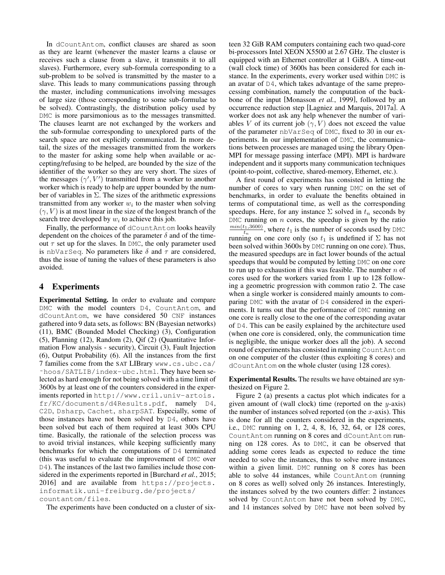In dCountAntom, conflict clauses are shared as soon as they are learnt (whenever the master learns a clause or receives such a clause from a slave, it transmits it to all slaves). Furthermore, every sub-formula corresponding to a sub-problem to be solved is transmitted by the master to a slave. This leads to many communications passing through the master, including communications involving messages of large size (those corresponding to some sub-formulae to be solved). Contrastingly, the distribution policy used by DMC is more parsimonious as to the messages transmitted. The clauses learnt are not exchanged by the workers and the sub-formulae corresponding to unexplored parts of the search space are not explicitly communicated. In more detail, the sizes of the messages transmitted from the workers to the master for asking some help when available or accepting/refusing to be helped, are bounded by the size of the identifier of the worker so they are very short. The sizes of the messages  $(\gamma', V')$  transmitted from a worker to another worker which is ready to help are upper bounded by the number of variables in  $\Sigma$ . The sizes of the arithmetic expressions transmitted from any worker  $w_i$  to the master when solving  $(\gamma, V)$  is at most linear in the size of the longest branch of the search tree developed by  $w_i$  to achieve this job.

Finally, the performance of dCountAntom looks heavily dependent on the choices of the parameter  $\delta$  and of the timeout  $\tau$  set up for the slaves. In DMC, the only parameter used is nbVarSeq. No parameters like  $\delta$  and  $\tau$  are considered, thus the issue of tuning the values of these parameters is also avoided.

### 4 Experiments

Experimental Setting. In order to evaluate and compare DMC with the model counters D4, CountAntom, and dCountAntom, we have considered 50 CNF instances gathered into 9 data sets, as follows: BN (Bayesian networks) (11), BMC (Bounded Model Checking) (3), Configuration (5), Planning (12), Random (2), Qif (2) (Quantitative Information Flow analysis - security), Circuit (3), Fault Injection (6), Output Probability (6). All the instances from the first 7 families come from the SAT LIBrary www.cs.ubc.ca/ ˜hoos/SATLIB/index-ubc.html. They have been selected as hard enough for not being solved with a time limit of 3600s by at least one of the counters considered in the experiments reported in http://www.cril.univ-artois. fr/KC/documents/d4Results.pdf, namely D4, C2D, Dsharp, Cachet, sharpSAT. Especially, some of those instances have not been solved by D4, others have been solved but each of them required at least 300s CPU time. Basically, the rationale of the selection process was to avoid trivial instances, while keeping sufficiently many benchmarks for which the computations of D4 terminated (this was useful to evaluate the improvement of DMC over D4). The instances of the last two families include those considered in the experiments reported in [Burchard *et al.*, 2015; 2016] and are available from https://projects. informatik.uni-freiburg.de/projects/ countantom/files.

The experiments have been conducted on a cluster of six-

teen 32 GiB RAM computers containing each two quad-core bi-processors Intel XEON X5500 at 2.67 GHz. The cluster is equipped with an Ethernet controller at 1 GiB/s. A time-out (wall clock time) of 3600s has been considered for each instance. In the experiments, every worker used within DMC is an avatar of D4, which takes advantage of the same preprocessing combination, namely the computation of the backbone of the input [Monasson *et al.*, 1999], followed by an occurrence reduction step [Lagniez and Marquis, 2017a]. A worker does not ask any help whenever the number of variables V of its current job  $(\gamma, V)$  does not exceed the value of the parameter nbVarSeq of DMC, fixed to 30 in our experiments. In our implementation of DMC, the communications between processes are managed using the library Open-MPI for message passing interface (MPI). MPI is hardware independent and it supports many communication techniques (point-to-point, collective, shared-memory, Ethernet, etc.).

A first round of experiments has consisted in letting the number of cores to vary when running DMC on the set of benchmarks, in order to evaluate the benefits obtained in terms of computational time, as well as the corresponding speedups. Here, for any instance  $\Sigma$  solved in  $t_n$  seconds by DMC running on  $n$  cores, the speedup is given by the ratio  $min(t_1, 3600)$  $t_n^{(t_1,3000)}$ , where  $t_1$  is the number of seconds used by DMC running on one core only (so  $t_1$  is undefined if  $\Sigma$  has not been solved within 3600s by DMC running on one core). Thus, the measured speedups are in fact lower bounds of the actual speedups that would be computed by letting DMC on one core to run up to exhaustion if this was feasible. The number  $n$  of cores used for the workers varied from 1 up to 128 following a geometric progression with common ratio 2. The case when a single worker is considered mainly amounts to comparing DMC with the avatar of D4 considered in the experiments. It turns out that the performance of DMC running on one core is really close to the one of the corresponding avatar of D4. This can be easily explained by the architecture used (when one core is considered, only, the communication time is negligible, the unique worker does all the job). A second round of experiments has consisted in running CountAntom on one computer of the cluster (thus exploiting 8 cores) and dCountAntom on the whole cluster (using 128 cores).

Experimental Results. The results we have obtained are synthesized on Figure 2.

Figure 2 (a) presents a cactus plot which indicates for a given amount of (wall clock) time (reported on the  $y$ -axis) the number of instances solved reported (on the  $x$ -axis). This is done for all the counters considered in the experiments, i.e., DMC running on 1, 2, 4, 8, 16, 32, 64, or 128 cores, CountAntom running on 8 cores and dCountAntom running on 128 cores. As to DMC, it can be observed that adding some cores leads as expected to reduce the time needed to solve the instances, thus to solve more instances within a given limit. DMC running on 8 cores has been able to solve 44 instances, while CountAntom (running on 8 cores as well) solved only 26 instances. Interestingly, the instances solved by the two counters differ: 2 instances solved by CountAntom have not been solved by DMC, and 14 instances solved by DMC have not been solved by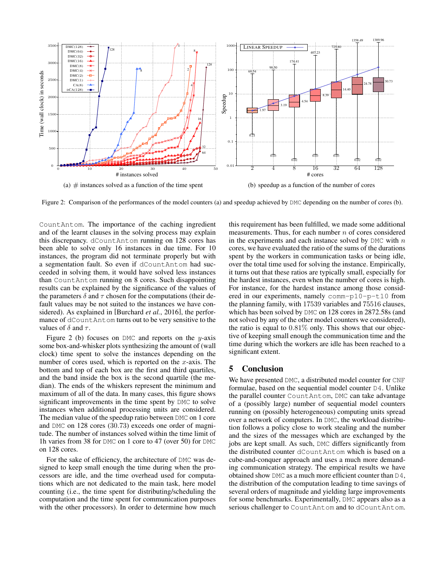

Figure 2: Comparison of the performances of the model counters (a) and speedup achieved by DMC depending on the number of cores (b).

CountAntom. The importance of the caching ingredient and of the learnt clauses in the solving process may explain this discrepancy. dCountAntom running on 128 cores has been able to solve only 16 instances in due time. For 10 instances, the program did not terminate properly but with a segmentation fault. So even if dCountAntom had succeeded in solving them, it would have solved less instances than CountAntom running on 8 cores. Such disappointing results can be explained by the significance of the values of the parameters  $\delta$  and  $\tau$  chosen for the computations (their default values may be not suited to the instances we have considered). As explained in [Burchard *et al.*, 2016], the performance of dCountAntom turns out to be very sensitive to the values of  $\delta$  and  $\tau$ .

Figure 2 (b) focuses on DMC and reports on the y-axis some box-and-whisker plots synthesizing the amount of (wall clock) time spent to solve the instances depending on the number of cores used, which is reported on the  $x$ -axis. The bottom and top of each box are the first and third quartiles, and the band inside the box is the second quartile (the median). The ends of the whiskers represent the minimum and maximum of all of the data. In many cases, this figure shows significant improvements in the time spent by DMC to solve instances when additional processing units are considered. The median value of the speedup ratio between DMC on 1 core and DMC on 128 cores (30.73) exceeds one order of magnitude. The number of instances solved within the time limit of 1h varies from 38 for DMC on 1 core to 47 (over 50) for DMC on 128 cores.

For the sake of efficiency, the architecture of DMC was designed to keep small enough the time during when the processors are idle, and the time overhead used for computations which are not dedicated to the main task, here model counting (i.e., the time spent for distributing/scheduling the computation and the time spent for communication purposes with the other processors). In order to determine how much this requirement has been fulfilled, we made some additional measurements. Thus, for each number  $n$  of cores considered in the experiments and each instance solved by  $DMC$  with n cores, we have evaluated the ratio of the sums of the durations spent by the workers in communication tasks or being idle, over the total time used for solving the instance. Empirically, it turns out that these ratios are typically small, especially for the hardest instances, even when the number of cores is high. For instance, for the hardest instance among those considered in our experiments, namely comm-p10-p-t10 from the planning family, with 17539 variables and 75516 clauses, which has been solved by DMC on 128 cores in 2872.58s (and not solved by any of the other model counters we considered), the ratio is equal to 0.81% only. This shows that our objective of keeping small enough the communication time and the time during which the workers are idle has been reached to a significant extent.

#### 5 Conclusion

We have presented DMC, a distributed model counter for CNF formulae, based on the sequential model counter D4. Unlike the parallel counter CountAntom, DMC can take advantage of a (possibly large) number of sequential model counters running on (possibly heterogeneous) computing units spread over a network of computers. In DMC, the workload distribution follows a policy close to work stealing and the number and the sizes of the messages which are exchanged by the jobs are kept small. As such, DMC differs significantly from the distributed counter dCountAntom which is based on a cube-and-conquer approach and uses a much more demanding communication strategy. The empirical results we have obtained show DMC as a much more efficient counter than D4, the distribution of the computation leading to time savings of several orders of magnitude and yielding large improvements for some benchmarks. Experimentally, DMC appears also as a serious challenger to CountAntom and to dCountAntom.